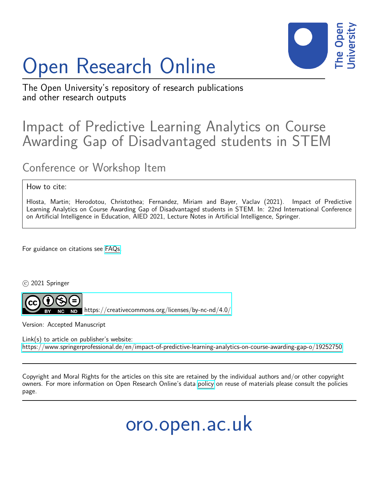# Open Research Online



The Open University's repository of research publications and other research outputs

# Impact of Predictive Learning Analytics on Course Awarding Gap of Disadvantaged students in STEM

## Conference or Workshop Item

### How to cite:

Hlosta, Martin; Herodotou, Christothea; Fernandez, Miriam and Bayer, Vaclav (2021). Impact of Predictive Learning Analytics on Course Awarding Gap of Disadvantaged students in STEM. In: 22nd International Conference on Artificial Intelligence in Education, AIED 2021, Lecture Notes in Artificial Intelligence, Springer.

For guidance on citations see [FAQs.](http://oro.open.ac.uk/help/helpfaq.html)

c 2021 Springer



<https://creativecommons.org/licenses/by-nc-nd/4.0/>

Version: Accepted Manuscript

Link(s) to article on publisher's website: <https://www.springerprofessional.de/en/impact-of-predictive-learning-analytics-on-course-awarding-gap-o/19252750>

Copyright and Moral Rights for the articles on this site are retained by the individual authors and/or other copyright owners. For more information on Open Research Online's data [policy](http://oro.open.ac.uk/policies.html) on reuse of materials please consult the policies page.

oro.open.ac.uk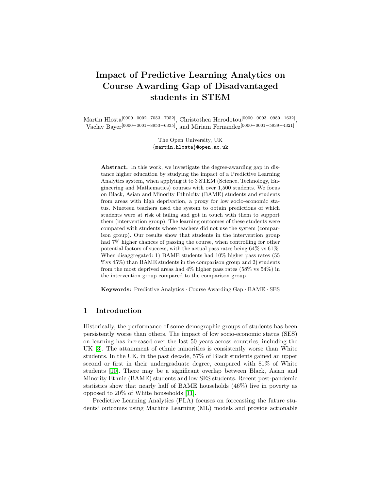## Impact of Predictive Learning Analytics on Course Awarding Gap of Disadvantaged students in STEM

Martin Hlosta<sup>[0000–0002–7053–7052]</sup>, Christothea Herodotou<sup>[0000–0003–0980–1632]</sup>, Vaclav Bayer[0000−0001−8953−6335], and Miriam Fernandez[0000−0001−5939−4321]

> The Open University, UK {martin.hlosta}@open.ac.uk

Abstract. In this work, we investigate the degree-awarding gap in distance higher education by studying the impact of a Predictive Learning Analytics system, when applying it to 3 STEM (Science, Technology, Engineering and Mathematics) courses with over 1,500 students. We focus on Black, Asian and Minority Ethnicity (BAME) students and students from areas with high deprivation, a proxy for low socio-economic status. Nineteen teachers used the system to obtain predictions of which students were at risk of failing and got in touch with them to support them (intervention group). The learning outcomes of these students were compared with students whose teachers did not use the system (comparison group). Our results show that students in the intervention group had 7% higher chances of passing the course, when controlling for other potential factors of success, with the actual pass rates being 64% vs 61%. When disaggregated: 1) BAME students had 10% higher pass rates (55 %vs 45%) than BAME students in the comparison group and 2) students from the most deprived areas had 4% higher pass rates (58% vs 54%) in the intervention group compared to the comparison group.

Keywords: Predictive Analytics · Course Awarding Gap · BAME · SES

#### 1 Introduction

Historically, the performance of some demographic groups of students has been persistently worse than others. The impact of low socio-economic status (SES) on learning has increased over the last 50 years across countries, including the UK [\[3\]](#page-5-0). The attainment of ethnic minorities is consistently worse than White students. In the UK, in the past decade, 57% of Black students gained an upper second or first in their undergraduate degree, compared with 81% of White students [\[10\]](#page-5-1). There may be a significant overlap between Black, Asian and Minority Ethnic (BAME) students and low SES students. Recent post-pandemic statistics show that nearly half of BAME households (46%) live in poverty as opposed to 20% of White households [\[11\]](#page-5-2).

Predictive Learning Analytics (PLA) focuses on forecasting the future students' outcomes using Machine Learning (ML) models and provide actionable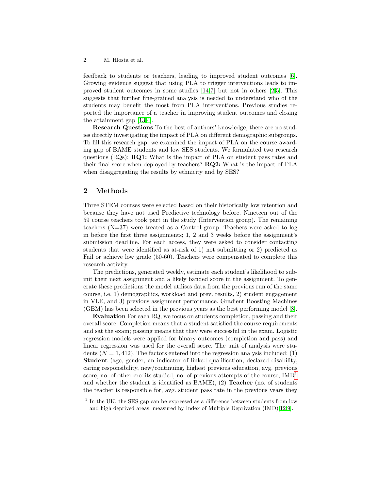2 M. Hlosta et al.

feedback to students or teachers, leading to improved student outcomes [\[6\]](#page-5-3). Growing evidence suggest that using PLA to trigger interventions leads to improved student outcomes in some studies [\[14](#page-5-4)[,7\]](#page-5-5) but not in others [\[2,](#page-5-6)[5\]](#page-5-7). This suggests that further fine-grained analysis is needed to understand who of the students may benefit the most from PLA interventions. Previous studies reported the importance of a teacher in improving student outcomes and closing the attainment gap [\[13,](#page-5-8)[4\]](#page-5-9).

Research Questions To the best of authors' knowledge, there are no studies directly investigating the impact of PLA on different demographic subgroups. To fill this research gap, we examined the impact of PLA on the course awarding gap of BAME students and low SES students. We formulated two research questions  $(RQs)$ :  $RQ1$ : What is the impact of PLA on student pass rates and their final score when deployed by teachers? RQ2: What is the impact of PLA when disaggregating the results by ethnicity and by SES?

#### 2 Methods

Three STEM courses were selected based on their historically low retention and because they have not used Predictive technology before. Nineteen out of the 59 course teachers took part in the study (Intervention group). The remaining teachers (N=37) were treated as a Control group. Teachers were asked to log in before the first three assignments; 1, 2 and 3 weeks before the assignment's submission deadline. For each access, they were asked to consider contacting students that were identified as at-risk of 1) not submitting or 2) predicted as Fail or achieve low grade (50-60). Teachers were compensated to complete this research activity.

The predictions, generated weekly, estimate each student's likelihood to submit their next assignment and a likely banded score in the assignment. To generate these predictions the model utilises data from the previous run of the same course, i.e. 1) demographics, workload and prev. results, 2) student engagement in VLE, and 3) previous assignment performance. Gradient Boosting Machines (GBM) has been selected in the previous years as the best performing model [\[8\]](#page-5-10).

Evaluation For each RQ, we focus on students completion, passing and their overall score. Completion means that a student satisfied the course requirements and sat the exam; passing means that they were successful in the exam. Logistic regression models were applied for binary outcomes (completion and pass) and linear regression was used for the overall score. The unit of analysis were students  $(N = 1, 412)$ . The factors entered into the regression analysis included: (1) Student (age, gender, an indicator of linked qualification, declared disability, caring responsibility, new/continuing, highest previous education, avg. previous score, no. of other credits studied, no. of previous attempts of the course,  $IMD<sup>1</sup>$  $IMD<sup>1</sup>$  $IMD<sup>1</sup>$ and whether the student is identified as BAME), (2) Teacher (no. of students the teacher is responsible for, avg. student pass rate in the previous years they

<span id="page-2-0"></span><sup>&</sup>lt;sup>1</sup> In the UK, the SES gap can be expressed as a difference between students from low and high deprived areas, measured by Index of Multiple Deprivation (IMD)[\[12,](#page-5-11)[9\]](#page-5-12).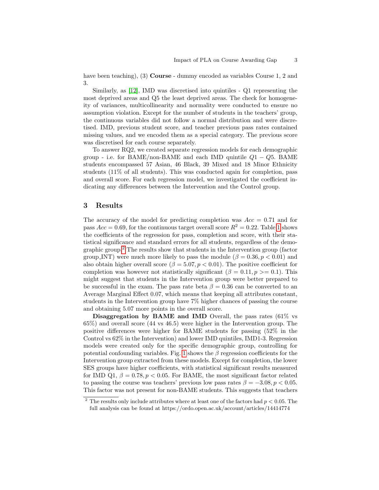have been teaching), (3) **Course** - dummy encoded as variables Course 1, 2 and 3.

Similarly, as [\[12\]](#page-5-11), IMD was discretised into quintiles - Q1 representing the most deprived areas and Q5 the least deprived areas. The check for homogeneity of variances, multicollinearity and normality were conducted to ensure no assumption violation. Except for the number of students in the teachers' group, the continuous variables did not follow a normal distribution and were discretised. IMD, previous student score, and teacher previous pass rates contained missing values, and we encoded them as a special category. The previous score was discretised for each course separately.

To answer RQ2, we created separate regression models for each demographic group - i.e. for BAME/non-BAME and each IMD quintile  $Q1 - Q5$ . BAME students encompassed 57 Asian, 46 Black, 39 Mixed and 18 Minor Ethnicity students (11% of all students). This was conducted again for completion, pass and overall score. For each regression model, we investigated the coefficient indicating any differences between the Intervention and the Control group.

#### 3 Results

The accuracy of the model for predicting completion was  $Acc = 0.71$  and for pass  $Acc = 0.69$ , for the continuous target overall score  $R^2 = 0.22$ . Table [1](#page-4-0) shows the coefficients of the regression for pass, completion and score, with their statistical significance and standard errors for all students, regardless of the demographic group.[2](#page-3-0) The results show that students in the Intervention group (factor group INT) were much more likely to pass the module ( $\beta = 0.36, p < 0.01$ ) and also obtain higher overall score ( $\beta = 5.07, p < 0.01$ ). The positive coefficient for completion was however not statistically significant ( $\beta = 0.11, p \ge 0.1$ ). This might suggest that students in the Intervention group were better prepared to be successful in the exam. The pass rate beta  $\beta = 0.36$  can be converted to an Average Marginal Effect 0.07, which means that keeping all attributes constant, students in the Intervention group have 7% higher chances of passing the course and obtaining 5.07 more points in the overall score.

Disaggregation by BAME and IMD Overall, the pass rates (61\%) vs 65%) and overall score (44 vs 46.5) were higher in the Intervention group. The positive differences were higher for BAME students for passing (52% in the Control vs 62% in the Intervention) and lower IMD quintiles, IMD1-3. Regression models were created only for the specific demographic group, controlling for potential confounding variables. Fig. [1](#page-4-1) shows the  $\beta$  regression coefficients for the Intervention group extracted from these models. Except for completion, the lower SES groups have higher coefficients, with statistical significant results measured for IMD Q1,  $\beta = 0.78, p < 0.05$ . For BAME, the most significant factor related to passing the course was teachers' previous low pass rates  $\beta = -3.08, p < 0.05$ . This factor was not present for non-BAME students. This suggests that teachers

<span id="page-3-0"></span><sup>&</sup>lt;sup>2</sup> The results only include attributes where at least one of the factors had  $p < 0.05$ . The full analysis can be found at https://ordo.open.ac.uk/account/articles/14414774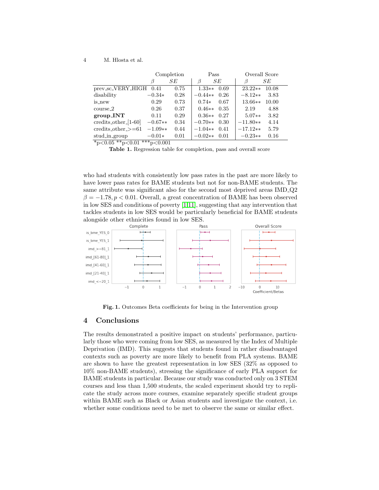#### 4 M. Hlosta et al.

|                                             | Completion |      | Pass      |      | Overall Score |       |
|---------------------------------------------|------------|------|-----------|------|---------------|-------|
|                                             | ß          | SЕ   | ß         | SЕ   |               | SЕ    |
| prev_sc_VERY_HIGH                           | 0.41       | 0.75 | $1.33**$  | 0.69 | $23.22**$     | 10.08 |
| disability                                  | $-0.34*$   | 0.28 | $-0.44**$ | 0.26 | $-8.12**$     | 3.83  |
| is_new                                      | 0.29       | 0.73 | $0.74*$   | 0.67 | $13.66**$     | 10.00 |
| $course-2$                                  | 0.26       | 0.37 | $0.46**$  | 0.35 | 2.19          | 4.88  |
| group_INT                                   | 0.11       | 0.29 | $0.36**$  | 0.27 | $5.07**$      | 3.82  |
| $\text{credits\_other\_}[1-60]$             | $-0.67**$  | 0.34 | $-0.70**$ | 0.30 | $-11.80**$    | 4.14  |
| $\text{credits}\_\text{other}\_\text{>=61}$ | $-1.09**$  | 0.44 | $-1.04**$ | 0.41 | $-17.12**$    | 5.79  |
| stud_in_group                               | $-0.01*$   | 0.01 | $-0.02**$ | 0.01 | $-0.23**$     | 0.16  |

 $*_{p<0.05} *_{p<0.01} * *_{p<0.001}$ 

<span id="page-4-0"></span>Table 1. Regression table for completion, pass and overall score

who had students with consistently low pass rates in the past are more likely to have lower pass rates for BAME students but not for non-BAME students. The same attribute was significant also for the second most deprived areas IMD Q2  $\beta = -1.78, p < 0.01$ . Overall, a great concentration of BAME has been observed in low SES and conditions of poverty [\[1,](#page-5-13)[11\]](#page-5-2), suggesting that any intervention that tackles students in low SES would be particularly beneficial for BAME students alongside other ethnicities found in low SES.



<span id="page-4-1"></span>Fig. 1. Outcomes Beta coefficients for being in the Intervention group

#### 4 Conclusions

The results demonstrated a positive impact on students' performance, particularly those who were coming from low SES, as measured by the Index of Multiple Deprivation (IMD). This suggests that students found in rather disadvantaged contexts such as poverty are more likely to benefit from PLA systems. BAME are shown to have the greatest representation in low SES (32% as opposed to 10% non-BAME students), stressing the significance of early PLA support for BAME students in particular. Because our study was conducted only on 3 STEM courses and less than 1,500 students, the scaled experiment should try to replicate the study across more courses, examine separately specific student groups within BAME such as Black or Asian students and investigate the context, i.e. whether some conditions need to be met to observe the same or similar effect.